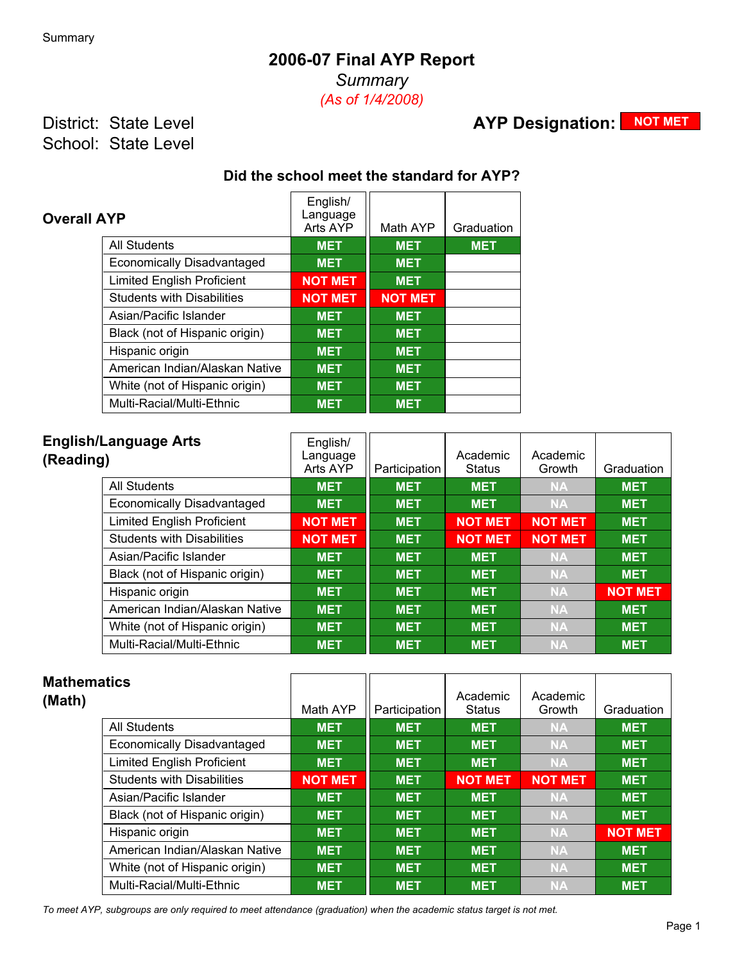### **2006-07 Final AYP Report**

*Summary*

*(As of 1/4/2008)*

District: State Level School: State Level

# **AYP Designation: NOT MET**

#### **Did the school meet the standard for AYP?**

| <b>Overall AYP</b>                | English/<br>Language<br>Arts AYP | Math AYP       | Graduation |
|-----------------------------------|----------------------------------|----------------|------------|
| <b>All Students</b>               | <b>MET</b>                       | <b>MET</b>     | <b>MET</b> |
| Economically Disadvantaged        | <b>MET</b>                       | <b>MET</b>     |            |
| <b>Limited English Proficient</b> | <b>NOT MET</b>                   | <b>MET</b>     |            |
| <b>Students with Disabilities</b> | <b>NOT MET</b>                   | <b>NOT MET</b> |            |
| Asian/Pacific Islander            | <b>MET</b>                       | <b>MET</b>     |            |
| Black (not of Hispanic origin)    | <b>MET</b>                       | <b>MET</b>     |            |
| Hispanic origin                   | <b>MET</b>                       | <b>MET</b>     |            |
| American Indian/Alaskan Native    | <b>MET</b>                       | <b>MET</b>     |            |
| White (not of Hispanic origin)    | <b>MET</b>                       | <b>MET</b>     |            |
| Multi-Racial/Multi-Ethnic         | <b>MET</b>                       | <b>MET</b>     |            |

| <b>English/Language Arts</b><br>(Reading) | English/<br>Language<br>Arts AYP | Participation | Academic<br><b>Status</b> | Academic<br>Growth | Graduation     |
|-------------------------------------------|----------------------------------|---------------|---------------------------|--------------------|----------------|
| All Students                              | <b>MET</b>                       | <b>MET</b>    | <b>MET</b>                | <b>NA</b>          | <b>MET</b>     |
| Economically Disadvantaged                | <b>MET</b>                       | <b>MET</b>    | <b>MET</b>                | <b>NA</b>          | <b>MET</b>     |
| <b>Limited English Proficient</b>         | <b>NOT MET</b>                   | <b>MET</b>    | <b>NOT MET</b>            | <b>NOT MET</b>     | <b>MET</b>     |
| <b>Students with Disabilities</b>         | <b>NOT MET</b>                   | <b>MET</b>    | <b>NOT MET</b>            | <b>NOT MET</b>     | <b>MET</b>     |
| Asian/Pacific Islander                    | <b>MET</b>                       | <b>MET</b>    | <b>MET</b>                | <b>NA</b>          | <b>MET</b>     |
| Black (not of Hispanic origin)            | <b>MET</b>                       | <b>MET</b>    | <b>MET</b>                | <b>NA</b>          | <b>MET</b>     |
| Hispanic origin                           | <b>MET</b>                       | <b>MET</b>    | <b>MET</b>                | <b>NA</b>          | <b>NOT MET</b> |
| American Indian/Alaskan Native            | <b>MET</b>                       | <b>MET</b>    | <b>MET</b>                | <b>NA</b>          | <b>MET</b>     |
| White (not of Hispanic origin)            | <b>MET</b>                       | <b>MET</b>    | <b>MET</b>                | <b>NA</b>          | <b>MET</b>     |
| Multi-Racial/Multi-Ethnic                 | <b>MET</b>                       | <b>MET</b>    | <b>MET</b>                | <b>NA</b>          | <b>MET</b>     |

| <b>Mathematics</b><br>(Math)      | Math AYP       | Participation | Academic<br><b>Status</b> | Academic<br>Growth | Graduation     |
|-----------------------------------|----------------|---------------|---------------------------|--------------------|----------------|
| <b>All Students</b>               | <b>MET</b>     | <b>MET</b>    | <b>MET</b>                | <b>NA</b>          | <b>MET</b>     |
| Economically Disadvantaged        | <b>MET</b>     | <b>MET</b>    | <b>MET</b>                | <b>NA</b>          | <b>MET</b>     |
| <b>Limited English Proficient</b> | <b>MET</b>     | <b>MET</b>    | <b>MET</b>                | <b>NA</b>          | <b>MET</b>     |
| <b>Students with Disabilities</b> | <b>NOT MET</b> | <b>MET</b>    | <b>NOT MET</b>            | <b>NOT MET</b>     | <b>MET</b>     |
| Asian/Pacific Islander            | <b>MET</b>     | <b>MET</b>    | <b>MET</b>                | <b>NA</b>          | <b>MET</b>     |
| Black (not of Hispanic origin)    | <b>MET</b>     | <b>MET</b>    | <b>MET</b>                | <b>NA</b>          | <b>MET</b>     |
| Hispanic origin                   | <b>MET</b>     | <b>MET</b>    | <b>MET</b>                | <b>NA</b>          | <b>NOT MET</b> |
| American Indian/Alaskan Native    | <b>MET</b>     | <b>MET</b>    | <b>MET</b>                | <b>NA</b>          | <b>MET</b>     |
| White (not of Hispanic origin)    | <b>MET</b>     | <b>MET</b>    | <b>MET</b>                | <b>NA</b>          | <b>MET</b>     |
| Multi-Racial/Multi-Ethnic         | <b>MET</b>     | <b>MET</b>    | <b>MET</b>                | <b>NA</b>          | <b>MET</b>     |

*To meet AYP, subgroups are only required to meet attendance (graduation) when the academic status target is not met.*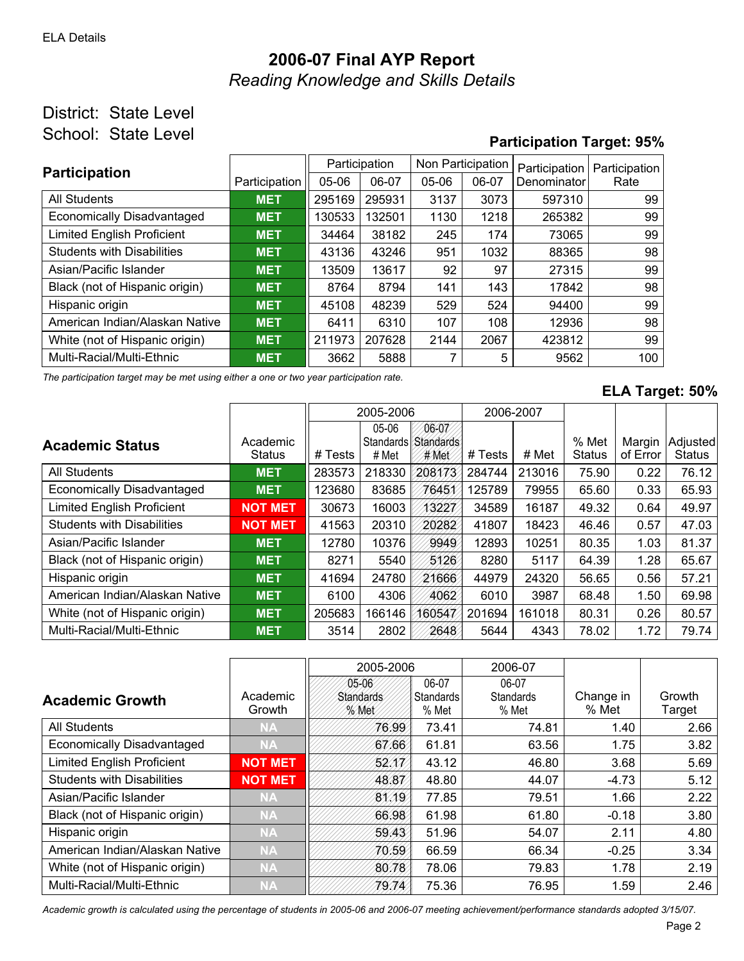# **2006-07 Final AYP Report** *Reading Knowledge and Skills Details*

### District: State Level School: State Level

## **Participation Target: 95%**

| <b>Participation</b>                            |               | Participation |        | Non Participation |       | Participation | Participation |
|-------------------------------------------------|---------------|---------------|--------|-------------------|-------|---------------|---------------|
|                                                 | Participation | $05 - 06$     | 06-07  | $05-06$           | 06-07 | Denominator   | Rate          |
| All Students                                    | <b>MET</b>    | 295169        | 295931 | 3137              | 3073  | 597310        | 99            |
| Economically Disadvantaged                      | <b>MET</b>    | 130533        | 132501 | 1130              | 1218  | 265382        | 99            |
| <b>Limited English Proficient</b>               | <b>MET</b>    | 34464         | 38182  | 245               | 174   | 73065         | 99            |
| <b>Students with Disabilities</b><br><b>MET</b> |               | 43136         | 43246  | 951               | 1032  | 88365         | 98            |
| Asian/Pacific Islander                          | <b>MET</b>    | 13509         | 13617  | 92                | 97    | 27315         | 99            |
| Black (not of Hispanic origin)                  | <b>MET</b>    | 8764          | 8794   | 141               | 143   | 17842         | 98            |
| Hispanic origin                                 | <b>MET</b>    | 45108         | 48239  | 529               | 524   | 94400         | 99            |
| American Indian/Alaskan Native                  | <b>MET</b>    | 6411          | 6310   | 107               | 108   | 12936         | 98            |
| White (not of Hispanic origin)                  | <b>MET</b>    | 211973        | 207628 | 2144              | 2067  | 423812        | 99            |
| Multi-Racial/Multi-Ethnic                       | <b>MET</b>    | 3662          | 5888   |                   | 5     | 9562          | 100           |

*The participation target may be met using either a one or two year participation rate.*

#### **ELA Target: 50%**

|                                   |                           | 2005-2006 |                             | 2006-2007                  |         |        |                        |                    |                           |
|-----------------------------------|---------------------------|-----------|-----------------------------|----------------------------|---------|--------|------------------------|--------------------|---------------------------|
| <b>Academic Status</b>            | Academic<br><b>Status</b> | # Tests   | 05-06<br>Standards<br># Met | 06-07<br>Standards<br>#Met | # Tests | # Met  | % Met<br><b>Status</b> | Margin<br>of Error | Adjusted<br><b>Status</b> |
| <b>All Students</b>               | <b>MET</b>                | 283573    | 218330                      | 208173                     | 284744  | 213016 | 75.90                  | 0.22               | 76.12                     |
| <b>Economically Disadvantaged</b> | <b>MET</b>                | 123680    | 83685                       | 76451                      | 125789  | 79955  | 65.60                  | 0.33               | 65.93                     |
| <b>Limited English Proficient</b> | <b>NOT MET</b>            | 30673     | 16003                       | 13227                      | 34589   | 16187  | 49.32                  | 0.64               | 49.97                     |
| <b>Students with Disabilities</b> | <b>NOT MET</b>            | 41563     | 20310                       | 20282                      | 41807   | 18423  | 46.46                  | 0.57               | 47.03                     |
| Asian/Pacific Islander            | <b>MET</b>                | 12780     | 10376                       | 9949                       | 12893   | 10251  | 80.35                  | 1.03               | 81.37                     |
| Black (not of Hispanic origin)    | <b>MET</b>                | 8271      | 5540                        | 5126                       | 8280    | 5117   | 64.39                  | 1.28               | 65.67                     |
| Hispanic origin                   | <b>MET</b>                | 41694     | 24780                       | 21666                      | 44979   | 24320  | 56.65                  | 0.56               | 57.21                     |
| American Indian/Alaskan Native    | <b>MET</b>                | 6100      | 4306                        | 4062                       | 6010    | 3987   | 68.48                  | 1.50               | 69.98                     |
| White (not of Hispanic origin)    | <b>MET</b>                | 205683    | 166146                      | 160547                     | 201694  | 161018 | 80.31                  | 0.26               | 80.57                     |
| Multi-Racial/Multi-Ethnic         | <b>MET</b>                | 3514      | 2802                        | 2648                       | 5644    | 4343   | 78.02                  | 1.72               | 79.74                     |

|                                   | 2005-2006          |                                    |                             | 2006-07                            |                    |                  |
|-----------------------------------|--------------------|------------------------------------|-----------------------------|------------------------------------|--------------------|------------------|
| <b>Academic Growth</b>            | Academic<br>Growth | 05-06<br><b>Standards</b><br>% Met | 06-07<br>Standards<br>% Met | 06-07<br><b>Standards</b><br>% Met | Change in<br>% Met | Growth<br>Target |
| <b>All Students</b>               | <b>NA</b>          | 76.99                              | 73.41                       | 74.81                              | 1.40               | 2.66             |
| Economically Disadvantaged        | <b>NA</b>          | 67.66                              | 61.81                       | 63.56                              | 1.75               | 3.82             |
| <b>Limited English Proficient</b> | <b>NOT MET</b>     | 52.NV/                             | 43.12                       | 46.80                              | 3.68               | 5.69             |
| <b>Students with Disabilities</b> | <b>NOT MET</b>     | 48.87                              | 48.80                       | 44.07                              | $-4.73$            | 5.12             |
| Asian/Pacific Islander            | <b>NA</b>          | 81.19                              | 77.85                       | 79.51                              | 1.66               | 2.22             |
| Black (not of Hispanic origin)    | <b>NA</b>          | 66.98                              | 61.98                       | 61.80                              | $-0.18$            | 3.80             |
| Hispanic origin                   | <b>NA</b>          | 59.43                              | 51.96                       | 54.07                              | 2.11               | 4.80             |
| American Indian/Alaskan Native    | <b>NA</b>          | 70.59                              | 66.59                       | 66.34                              | $-0.25$            | 3.34             |
| White (not of Hispanic origin)    | <b>NA</b>          | 80.78                              | 78.06                       | 79.83                              | 1.78               | 2.19             |
| Multi-Racial/Multi-Ethnic         | <b>NA</b>          | 79.74/                             | 75.36                       | 76.95                              | 1.59               | 2.46             |

*Academic growth is calculated using the percentage of students in 2005-06 and 2006-07 meeting achievement/performance standards adopted 3/15/07.*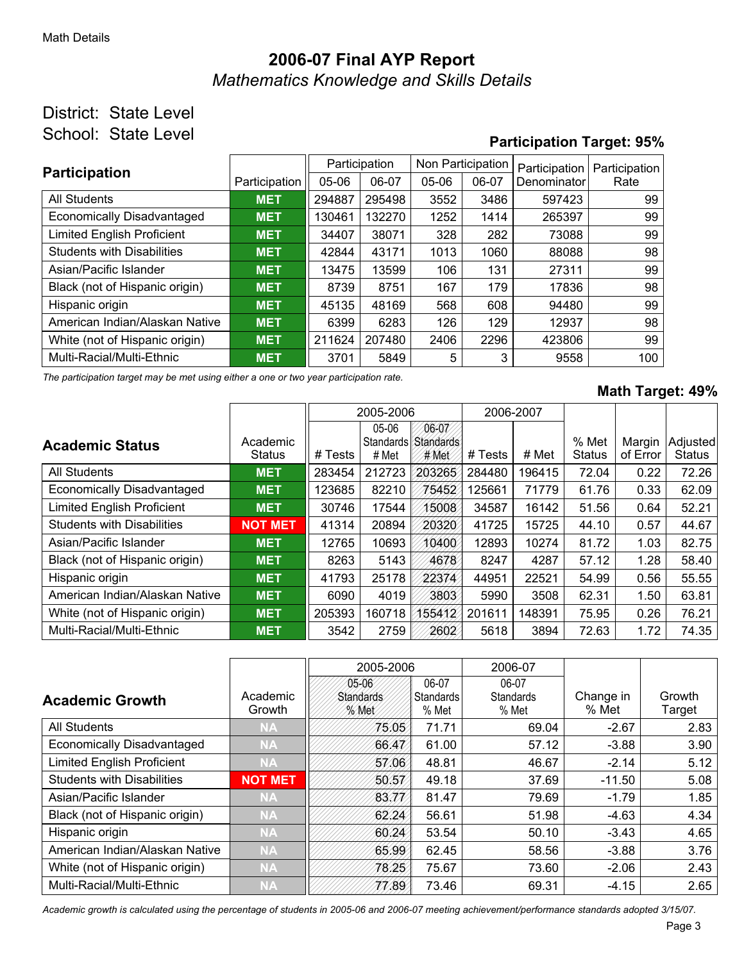# **2006-07 Final AYP Report** *Mathematics Knowledge and Skills Details*

### District: State Level School: State Level

## **Participation Target: 95%**

| <b>Participation</b>              |               | Participation |        | Non Participation |       | Participation | Participation |  |
|-----------------------------------|---------------|---------------|--------|-------------------|-------|---------------|---------------|--|
|                                   | Participation | $05 - 06$     | 06-07  | $05-06$           | 06-07 | Denominator   | Rate          |  |
| All Students                      | <b>MET</b>    | 294887        | 295498 | 3552              | 3486  | 597423        | 99            |  |
| <b>Economically Disadvantaged</b> | <b>MET</b>    | 130461        | 132270 | 1252              | 1414  | 265397        | 99            |  |
| <b>Limited English Proficient</b> | <b>MET</b>    | 34407         | 38071  | 328               | 282   | 73088         | 99            |  |
| <b>Students with Disabilities</b> | <b>MET</b>    | 42844         | 43171  | 1013              | 1060  | 88088         | 98            |  |
| Asian/Pacific Islander            | <b>MET</b>    | 13475         | 13599  | 106               | 131   | 27311         | 99            |  |
| Black (not of Hispanic origin)    | <b>MET</b>    | 8739          | 8751   | 167               | 179   | 17836         | 98            |  |
| Hispanic origin                   | <b>MET</b>    | 45135         | 48169  | 568               | 608   | 94480         | 99            |  |
| American Indian/Alaskan Native    | <b>MET</b>    | 6399          | 6283   | 126               | 129   | 12937         | 98            |  |
| White (not of Hispanic origin)    | <b>MET</b>    | 211624        | 207480 | 2406              | 2296  | 423806        | 99            |  |
| Multi-Racial/Multi-Ethnic         | <b>MET</b>    | 3701          | 5849   | 5                 | 3     | 9558          | 100           |  |

*The participation target may be met using either a one or two year participation rate.*

#### **Math Target: 49%**

|                                   |                           | 2005-2006 |                                    | 2006-2007                         |         |        |                        |                    |                           |
|-----------------------------------|---------------------------|-----------|------------------------------------|-----------------------------------|---------|--------|------------------------|--------------------|---------------------------|
| <b>Academic Status</b>            | Academic<br><b>Status</b> | # Tests   | 05-06<br><b>Standards</b><br># Met | 06-07<br><b>Standards</b><br>#Met | # Tests | # Met  | % Met<br><b>Status</b> | Margin<br>of Error | Adjusted<br><b>Status</b> |
| <b>All Students</b>               | <b>MET</b>                | 283454    | 212723                             | 203265                            | 284480  | 196415 | 72.04                  | 0.22               | 72.26                     |
| <b>Economically Disadvantaged</b> | <b>MET</b>                | 123685    | 82210                              | 75452                             | 125661  | 71779  | 61.76                  | 0.33               | 62.09                     |
| <b>Limited English Proficient</b> | <b>MET</b>                | 30746     | 17544                              | 15008                             | 34587   | 16142  | 51.56                  | 0.64               | 52.21                     |
| <b>Students with Disabilities</b> | <b>NOT MET</b>            | 41314     | 20894                              | 20320                             | 41725   | 15725  | 44.10                  | 0.57               | 44.67                     |
| Asian/Pacific Islander            | <b>MET</b>                | 12765     | 10693                              | 10400                             | 12893   | 10274  | 81.72                  | 1.03               | 82.75                     |
| Black (not of Hispanic origin)    | <b>MET</b>                | 8263      | 5143                               | 4678                              | 8247    | 4287   | 57.12                  | 1.28               | 58.40                     |
| Hispanic origin                   | <b>MET</b>                | 41793     | 25178                              | 22374                             | 44951   | 22521  | 54.99                  | 0.56               | 55.55                     |
| American Indian/Alaskan Native    | <b>MET</b>                | 6090      | 4019                               | 3803                              | 5990    | 3508   | 62.31                  | 1.50               | 63.81                     |
| White (not of Hispanic origin)    | <b>MET</b>                | 205393    | 160718                             | 155412                            | 201611  | 148391 | 75.95                  | 0.26               | 76.21                     |
| Multi-Racial/Multi-Ethnic         | <b>MET</b>                | 3542      | 2759                               | 2602                              | 5618    | 3894   | 72.63                  | 1.72               | 74.35                     |

|                                   |                    | 2005-2006                         |                             | 2006-07                            |                    |                  |
|-----------------------------------|--------------------|-----------------------------------|-----------------------------|------------------------------------|--------------------|------------------|
| <b>Academic Growth</b>            | Academic<br>Growth | 05-06<br><b>Standards</b><br>%Met | 06-07<br>Standards<br>% Met | 06-07<br><b>Standards</b><br>% Met | Change in<br>% Met | Growth<br>Target |
| <b>All Students</b>               | <b>NA</b>          | 75.05/                            | 71.71                       | 69.04                              | $-2.67$            | 2.83             |
| Economically Disadvantaged        | <b>NA</b>          | 66.47                             | 61.00                       | 57.12                              | $-3.88$            | 3.90             |
| <b>Limited English Proficient</b> | <b>NA</b>          | 57.06                             | 48.81                       | 46.67                              | $-2.14$            | 5.12             |
| <b>Students with Disabilities</b> | <b>NOT MET</b>     | 50.57                             | 49.18                       | 37.69                              | $-11.50$           | 5.08             |
| Asian/Pacific Islander            | <b>NA</b>          | 83.77                             | 81.47                       | 79.69                              | $-1.79$            | 1.85             |
| Black (not of Hispanic origin)    | <b>NA</b>          | 62.24                             | 56.61                       | 51.98                              | $-4.63$            | 4.34             |
| Hispanic origin                   | <b>NA</b>          | 60.24                             | 53.54                       | 50.10                              | $-3.43$            | 4.65             |
| American Indian/Alaskan Native    | <b>NA</b>          | 65.99                             | 62.45                       | 58.56                              | $-3.88$            | 3.76             |
| White (not of Hispanic origin)    | <b>NA</b>          | 78.25/                            | 75.67                       | 73.60                              | $-2.06$            | 2.43             |
| Multi-Racial/Multi-Ethnic         | <b>NA</b>          | 77.89/                            | 73.46                       | 69.31                              | $-4.15$            | 2.65             |

*Academic growth is calculated using the percentage of students in 2005-06 and 2006-07 meeting achievement/performance standards adopted 3/15/07.*